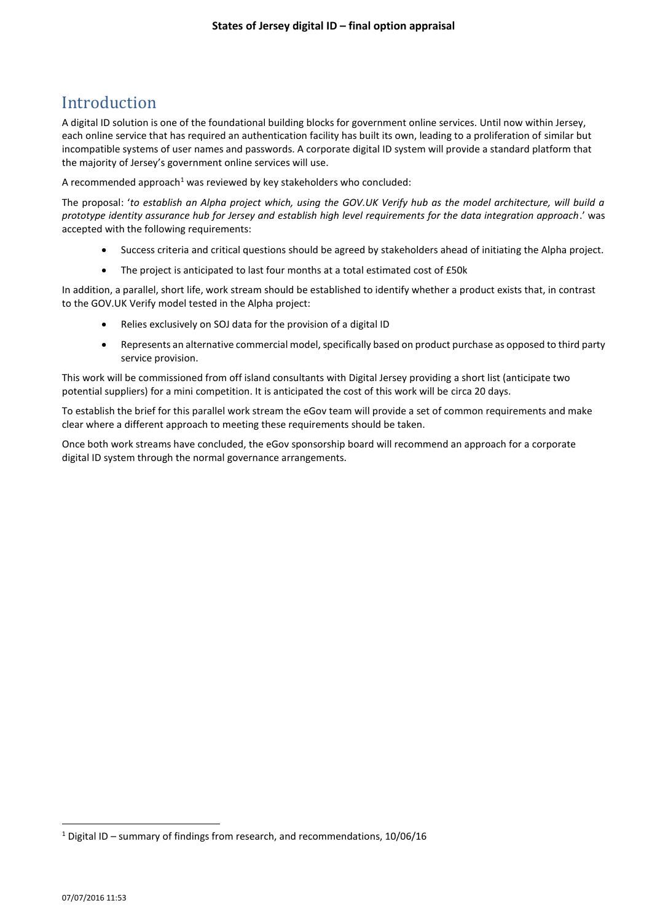## Introduction

A digital ID solution is one of the foundational building blocks for government online services. Until now within Jersey, each online service that has required an authentication facility has built its own, leading to a proliferation of similar but incompatible systems of user names and passwords. A corporate digital ID system will provide a standard platform that the majority of Jersey's government online services will use.

A recommended approach<sup>1</sup> was reviewed by key stakeholders who concluded:

The proposal: '*to establish an Alpha project which, using the GOV.UK Verify hub as the model architecture, will build a prototype identity assurance hub for Jersey and establish high level requirements for the data integration approach*.' was accepted with the following requirements:

- Success criteria and critical questions should be agreed by stakeholders ahead of initiating the Alpha project.
- The project is anticipated to last four months at a total estimated cost of £50k

In addition, a parallel, short life, work stream should be established to identify whether a product exists that, in contrast to the GOV.UK Verify model tested in the Alpha project:

- Relies exclusively on SOJ data for the provision of a digital ID
- Represents an alternative commercial model, specifically based on product purchase as opposed to third party service provision.

This work will be commissioned from off island consultants with Digital Jersey providing a short list (anticipate two potential suppliers) for a mini competition. It is anticipated the cost of this work will be circa 20 days.

To establish the brief for this parallel work stream the eGov team will provide a set of common requirements and make clear where a different approach to meeting these requirements should be taken.

Once both work streams have concluded, the eGov sponsorship board will recommend an approach for a corporate digital ID system through the normal governance arrangements.

**.** 

 $1$  Digital ID – summary of findings from research, and recommendations, 10/06/16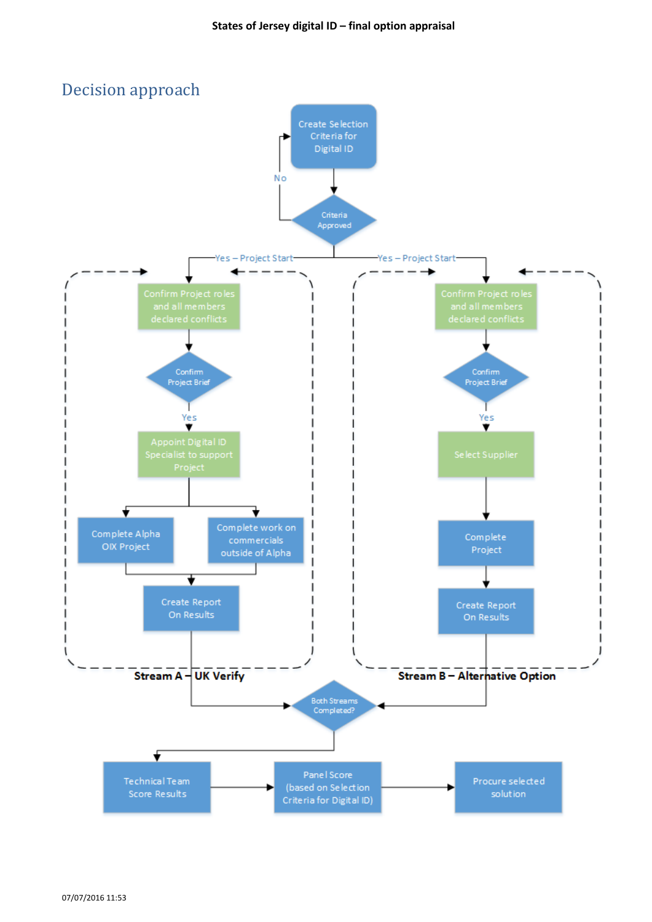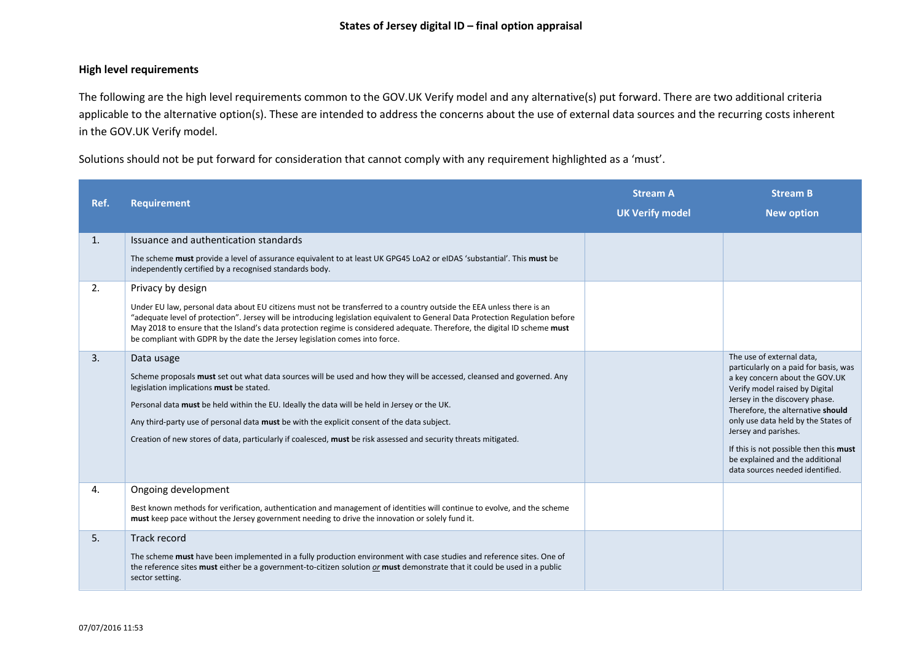## **High level requirements**

The following are the high level requirements common to the GOV.UK Verify model and any alternative(s) put forward. There are two additional criteria applicable to the alternative option(s). These are intended to address the concerns about the use of external data sources and the recurring costs inherent in the GOV.UK Verify model.

Solutions should not be put forward for consideration that cannot comply with any requirement highlighted as a 'must'.

| Ref.     | <b>Requirement</b>                                                                                                                                                                                                                                                                                                                                                                                                                                                                                     | <b>Stream A</b><br><b>UK Verify model</b> | <b>Stream B</b><br><b>New option</b>                                                                                                                                                                                                                                                                                   |
|----------|--------------------------------------------------------------------------------------------------------------------------------------------------------------------------------------------------------------------------------------------------------------------------------------------------------------------------------------------------------------------------------------------------------------------------------------------------------------------------------------------------------|-------------------------------------------|------------------------------------------------------------------------------------------------------------------------------------------------------------------------------------------------------------------------------------------------------------------------------------------------------------------------|
| 1.       | Issuance and authentication standards<br>The scheme must provide a level of assurance equivalent to at least UK GPG45 LoA2 or eIDAS 'substantial'. This must be<br>independently certified by a recognised standards body.                                                                                                                                                                                                                                                                             |                                           |                                                                                                                                                                                                                                                                                                                        |
| 2.<br>3. | Privacy by design<br>Under EU law, personal data about EU citizens must not be transferred to a country outside the EEA unless there is an<br>"adequate level of protection". Jersey will be introducing legislation equivalent to General Data Protection Regulation before<br>May 2018 to ensure that the Island's data protection regime is considered adequate. Therefore, the digital ID scheme must<br>be compliant with GDPR by the date the Jersey legislation comes into force.<br>Data usage |                                           | The use of external data,<br>particularly on a paid for basis, was                                                                                                                                                                                                                                                     |
|          | Scheme proposals must set out what data sources will be used and how they will be accessed, cleansed and governed. Any<br>legislation implications must be stated.<br>Personal data must be held within the EU. Ideally the data will be held in Jersey or the UK.<br>Any third-party use of personal data must be with the explicit consent of the data subject.<br>Creation of new stores of data, particularly if coalesced, must be risk assessed and security threats mitigated.                  |                                           | a key concern about the GOV.UK<br>Verify model raised by Digital<br>Jersey in the discovery phase.<br>Therefore, the alternative should<br>only use data held by the States of<br>Jersey and parishes.<br>If this is not possible then this must<br>be explained and the additional<br>data sources needed identified. |
| 4.       | Ongoing development<br>Best known methods for verification, authentication and management of identities will continue to evolve, and the scheme<br>must keep pace without the Jersey government needing to drive the innovation or solely fund it.                                                                                                                                                                                                                                                     |                                           |                                                                                                                                                                                                                                                                                                                        |
| 5.       | <b>Track record</b><br>The scheme must have been implemented in a fully production environment with case studies and reference sites. One of<br>the reference sites must either be a government-to-citizen solution or must demonstrate that it could be used in a public<br>sector setting.                                                                                                                                                                                                           |                                           |                                                                                                                                                                                                                                                                                                                        |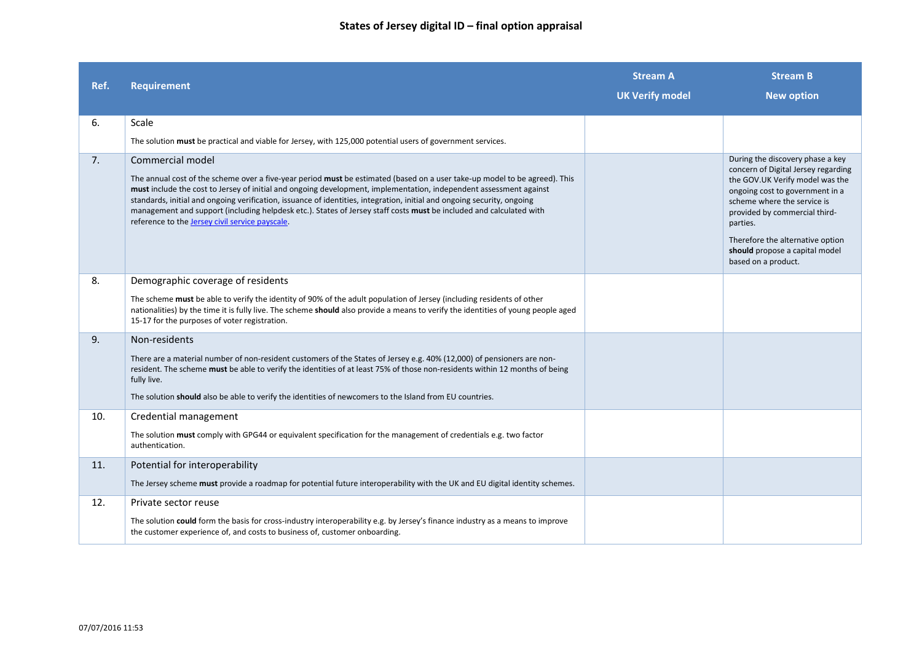| Ref. | <b>Requirement</b>                                                                                                                                                                                                                                                                                                                                                                                                                                                                                                                                                        | <b>Stream A</b><br><b>UK Verify model</b> | <b>Stream B</b><br><b>New option</b>                                                                                                                                                                                                                                                                                   |
|------|---------------------------------------------------------------------------------------------------------------------------------------------------------------------------------------------------------------------------------------------------------------------------------------------------------------------------------------------------------------------------------------------------------------------------------------------------------------------------------------------------------------------------------------------------------------------------|-------------------------------------------|------------------------------------------------------------------------------------------------------------------------------------------------------------------------------------------------------------------------------------------------------------------------------------------------------------------------|
| 6.   | Scale                                                                                                                                                                                                                                                                                                                                                                                                                                                                                                                                                                     |                                           |                                                                                                                                                                                                                                                                                                                        |
|      | The solution must be practical and viable for Jersey, with 125,000 potential users of government services.                                                                                                                                                                                                                                                                                                                                                                                                                                                                |                                           |                                                                                                                                                                                                                                                                                                                        |
| 7.   | Commercial model<br>The annual cost of the scheme over a five-year period must be estimated (based on a user take-up model to be agreed). This<br>must include the cost to Jersey of initial and ongoing development, implementation, independent assessment against<br>standards, initial and ongoing verification, issuance of identities, integration, initial and ongoing security, ongoing<br>management and support (including helpdesk etc.). States of Jersey staff costs must be included and calculated with<br>reference to the Jersey civil service payscale. |                                           | During the discovery phase a key<br>concern of Digital Jersey regarding<br>the GOV.UK Verify model was the<br>ongoing cost to government in a<br>scheme where the service is<br>provided by commercial third-<br>parties.<br>Therefore the alternative option<br>should propose a capital model<br>based on a product. |
| 8.   | Demographic coverage of residents                                                                                                                                                                                                                                                                                                                                                                                                                                                                                                                                         |                                           |                                                                                                                                                                                                                                                                                                                        |
|      | The scheme must be able to verify the identity of 90% of the adult population of Jersey (including residents of other<br>nationalities) by the time it is fully live. The scheme should also provide a means to verify the identities of young people aged<br>15-17 for the purposes of voter registration.                                                                                                                                                                                                                                                               |                                           |                                                                                                                                                                                                                                                                                                                        |
| 9.   | Non-residents                                                                                                                                                                                                                                                                                                                                                                                                                                                                                                                                                             |                                           |                                                                                                                                                                                                                                                                                                                        |
|      | There are a material number of non-resident customers of the States of Jersey e.g. 40% (12,000) of pensioners are non-<br>resident. The scheme must be able to verify the identities of at least 75% of those non-residents within 12 months of being<br>fully live.                                                                                                                                                                                                                                                                                                      |                                           |                                                                                                                                                                                                                                                                                                                        |
|      | The solution should also be able to verify the identities of newcomers to the Island from EU countries.                                                                                                                                                                                                                                                                                                                                                                                                                                                                   |                                           |                                                                                                                                                                                                                                                                                                                        |
| 10.  | Credential management                                                                                                                                                                                                                                                                                                                                                                                                                                                                                                                                                     |                                           |                                                                                                                                                                                                                                                                                                                        |
|      | The solution must comply with GPG44 or equivalent specification for the management of credentials e.g. two factor<br>authentication.                                                                                                                                                                                                                                                                                                                                                                                                                                      |                                           |                                                                                                                                                                                                                                                                                                                        |
| 11.  | Potential for interoperability                                                                                                                                                                                                                                                                                                                                                                                                                                                                                                                                            |                                           |                                                                                                                                                                                                                                                                                                                        |
|      | The Jersey scheme must provide a roadmap for potential future interoperability with the UK and EU digital identity schemes.                                                                                                                                                                                                                                                                                                                                                                                                                                               |                                           |                                                                                                                                                                                                                                                                                                                        |
| 12.  | Private sector reuse                                                                                                                                                                                                                                                                                                                                                                                                                                                                                                                                                      |                                           |                                                                                                                                                                                                                                                                                                                        |
|      | The solution could form the basis for cross-industry interoperability e.g. by Jersey's finance industry as a means to improve<br>the customer experience of, and costs to business of, customer onboarding.                                                                                                                                                                                                                                                                                                                                                               |                                           |                                                                                                                                                                                                                                                                                                                        |